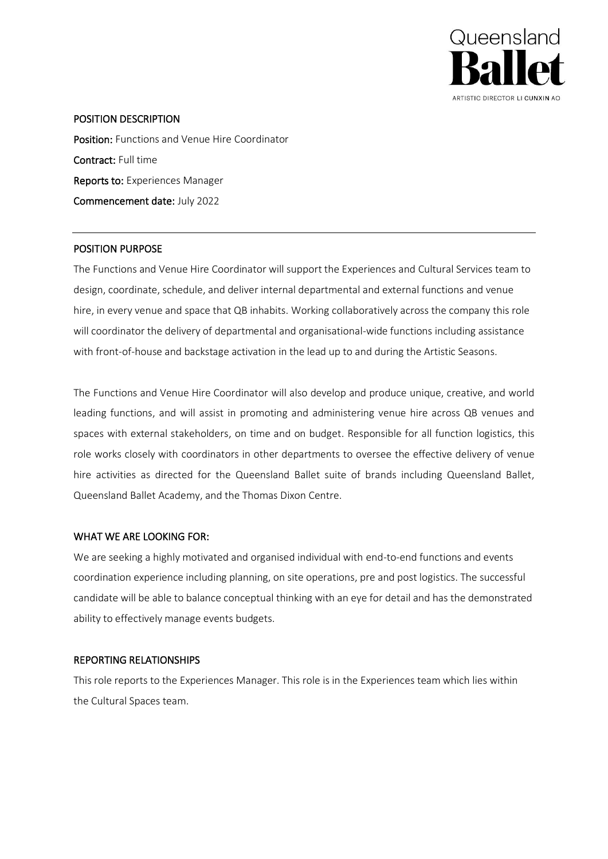

## POSITION DESCRIPTION

Position: Functions and Venue Hire Coordinator Contract: Full time Reports to: Experiences Manager Commencement date: July 2022

## POSITION PURPOSE

The Functions and Venue Hire Coordinator will support the Experiences and Cultural Services team to design, coordinate, schedule, and deliver internal departmental and external functions and venue hire, in every venue and space that QB inhabits. Working collaboratively across the company this role will coordinator the delivery of departmental and organisational-wide functions including assistance with front-of-house and backstage activation in the lead up to and during the Artistic Seasons.

The Functions and Venue Hire Coordinator will also develop and produce unique, creative, and world leading functions, and will assist in promoting and administering venue hire across QB venues and spaces with external stakeholders, on time and on budget. Responsible for all function logistics, this role works closely with coordinators in other departments to oversee the effective delivery of venue hire activities as directed for the Queensland Ballet suite of brands including Queensland Ballet, Queensland Ballet Academy, and the Thomas Dixon Centre.

# WHAT WE ARE LOOKING FOR:

We are seeking a highly motivated and organised individual with end-to-end functions and events coordination experience including planning, on site operations, pre and post logistics. The successful candidate will be able to balance conceptual thinking with an eye for detail and has the demonstrated ability to effectively manage events budgets.

## REPORTING RELATIONSHIPS

This role reports to the Experiences Manager. This role is in the Experiences team which lies within the Cultural Spaces team.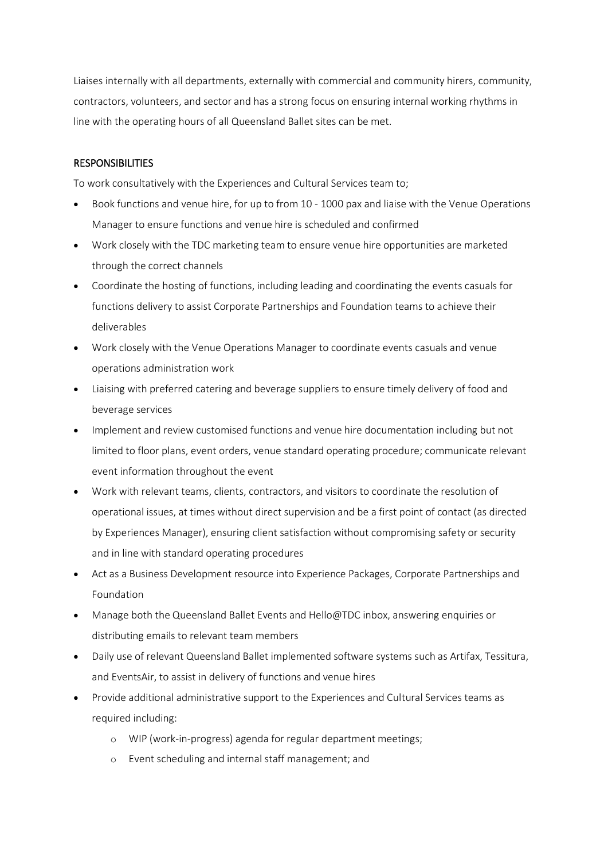Liaises internally with all departments, externally with commercial and community hirers, community, contractors, volunteers, and sector and has a strong focus on ensuring internal working rhythms in line with the operating hours of all Queensland Ballet sites can be met.

### **RESPONSIBILITIES**

To work consultatively with the Experiences and Cultural Services team to;

- Book functions and venue hire, for up to from 10 1000 pax and liaise with the Venue Operations Manager to ensure functions and venue hire is scheduled and confirmed
- Work closely with the TDC marketing team to ensure venue hire opportunities are marketed through the correct channels
- Coordinate the hosting of functions, including leading and coordinating the events casuals for functions delivery to assist Corporate Partnerships and Foundation teams to achieve their deliverables
- Work closely with the Venue Operations Manager to coordinate events casuals and venue operations administration work
- Liaising with preferred catering and beverage suppliers to ensure timely delivery of food and beverage services
- Implement and review customised functions and venue hire documentation including but not limited to floor plans, event orders, venue standard operating procedure; communicate relevant event information throughout the event
- Work with relevant teams, clients, contractors, and visitors to coordinate the resolution of operational issues, at times without direct supervision and be a first point of contact (as directed by Experiences Manager), ensuring client satisfaction without compromising safety or security and in line with standard operating procedures
- Act as a Business Development resource into Experience Packages, Corporate Partnerships and Foundation
- Manage both the Queensland Ballet Events and Hello@TDC inbox, answering enquiries or distributing emails to relevant team members
- Daily use of relevant Queensland Ballet implemented software systems such as Artifax, Tessitura, and EventsAir, to assist in delivery of functions and venue hires
- Provide additional administrative support to the Experiences and Cultural Services teams as required including:
	- o WIP (work-in-progress) agenda for regular department meetings;
	- o Event scheduling and internal staff management; and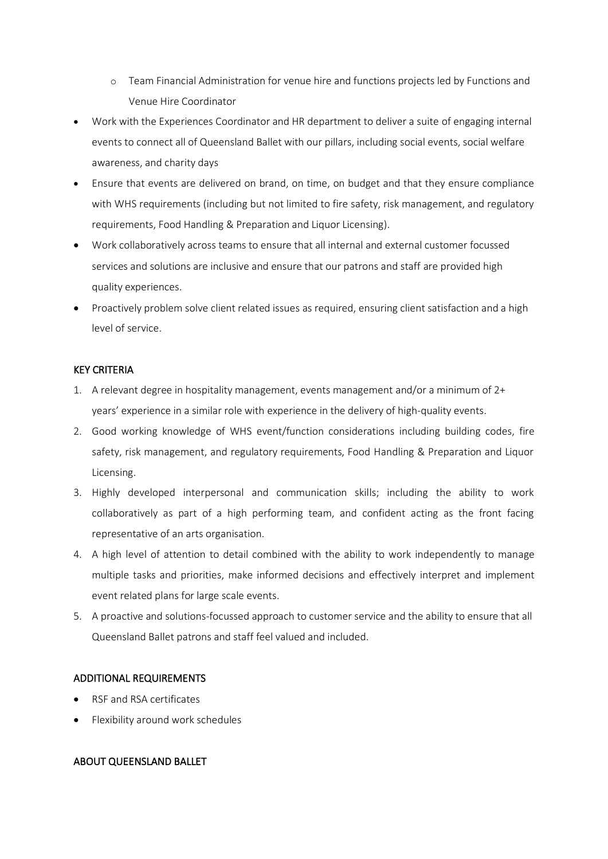- o Team Financial Administration for venue hire and functions projects led by Functions and Venue Hire Coordinator
- Work with the Experiences Coordinator and HR department to deliver a suite of engaging internal events to connect all of Queensland Ballet with our pillars, including social events, social welfare awareness, and charity days
- Ensure that events are delivered on brand, on time, on budget and that they ensure compliance with WHS requirements (including but not limited to fire safety, risk management, and regulatory requirements, Food Handling & Preparation and Liquor Licensing).
- Work collaboratively across teams to ensure that all internal and external customer focussed services and solutions are inclusive and ensure that our patrons and staff are provided high quality experiences.
- Proactively problem solve client related issues as required, ensuring client satisfaction and a high level of service.

# KEY CRITERIA

- 1. A relevant degree in hospitality management, events management and/or a minimum of 2+ years' experience in a similar role with experience in the delivery of high-quality events.
- 2. Good working knowledge of WHS event/function considerations including building codes, fire safety, risk management, and regulatory requirements, Food Handling & Preparation and Liquor Licensing.
- 3. Highly developed interpersonal and communication skills; including the ability to work collaboratively as part of a high performing team, and confident acting as the front facing representative of an arts organisation.
- 4. A high level of attention to detail combined with the ability to work independently to manage multiple tasks and priorities, make informed decisions and effectively interpret and implement event related plans for large scale events.
- 5. A proactive and solutions-focussed approach to customer service and the ability to ensure that all Queensland Ballet patrons and staff feel valued and included.

# ADDITIONAL REQUIREMENTS

- RSF and RSA certificates
- Flexibility around work schedules

# ABOUT QUEENSLAND BALLET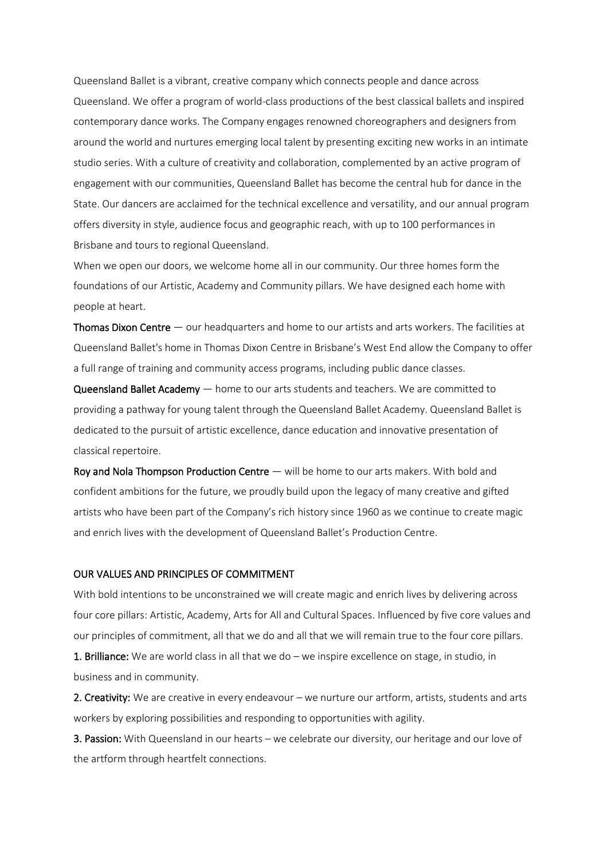Queensland Ballet is a vibrant, creative company which connects people and dance across Queensland. We offer a program of world-class productions of the best classical ballets and inspired contemporary dance works. The Company engages renowned choreographers and designers from around the world and nurtures emerging local talent by presenting exciting new works in an intimate studio series. With a culture of creativity and collaboration, complemented by an active program of engagement with our communities, Queensland Ballet has become the central hub for dance in the State. Our dancers are acclaimed for the technical excellence and versatility, and our annual program offers diversity in style, audience focus and geographic reach, with up to 100 performances in Brisbane and tours to regional Queensland.

When we open our doors, we welcome home all in our community. Our three homes form the foundations of our Artistic, Academy and Community pillars. We have designed each home with people at heart.

Thomas Dixon Centre — our headquarters and home to our artists and arts workers. The facilities at Queensland Ballet's home in Thomas Dixon Centre in Brisbane's West End allow the Company to offer a full range of training and community access programs, including public dance classes.

Queensland Ballet Academy — home to our arts students and teachers. We are committed to providing a pathway for young talent through the Queensland Ballet Academy. Queensland Ballet is dedicated to the pursuit of artistic excellence, dance education and innovative presentation of classical repertoire.

Roy and Nola Thompson Production Centre — will be home to our arts makers. With bold and confident ambitions for the future, we proudly build upon the legacy of many creative and gifted artists who have been part of the Company's rich history since 1960 as we continue to create magic and enrich lives with the development of Queensland Ballet's Production Centre.

### OUR VALUES AND PRINCIPLES OF COMMITMENT

With bold intentions to be unconstrained we will create magic and enrich lives by delivering across four core pillars: Artistic, Academy, Arts for All and Cultural Spaces. Influenced by five core values and our principles of commitment, all that we do and all that we will remain true to the four core pillars.

1. Brilliance: We are world class in all that we do – we inspire excellence on stage, in studio, in business and in community.

2. Creativity: We are creative in every endeavour – we nurture our artform, artists, students and arts workers by exploring possibilities and responding to opportunities with agility.

3. Passion: With Queensland in our hearts – we celebrate our diversity, our heritage and our love of the artform through heartfelt connections.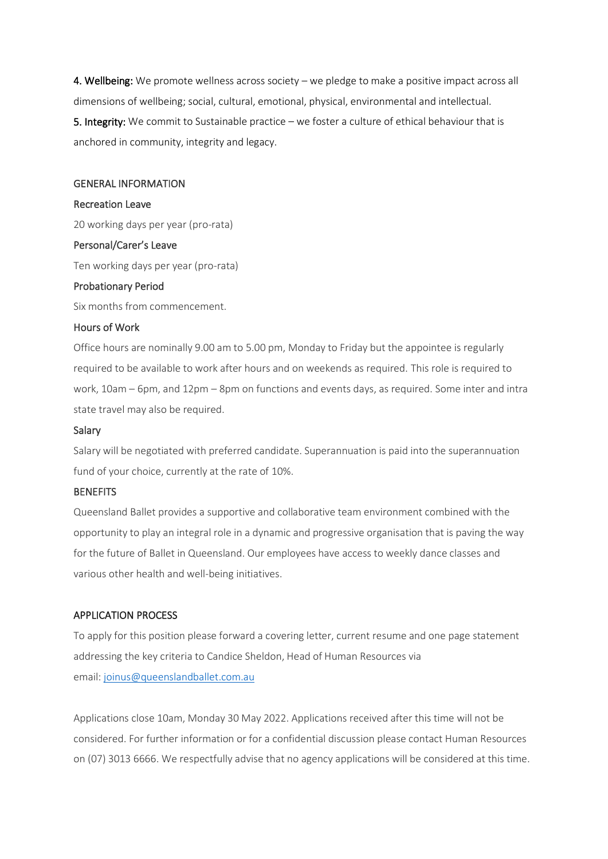4. Wellbeing: We promote wellness across society – we pledge to make a positive impact across all dimensions of wellbeing; social, cultural, emotional, physical, environmental and intellectual. 5. Integrity: We commit to Sustainable practice – we foster a culture of ethical behaviour that is anchored in community, integrity and legacy.

#### GENERAL INFORMATION

#### Recreation Leave

20 working days per year (pro-rata)

#### Personal/Carer's Leave

Ten working days per year (pro-rata)

#### Probationary Period

Six months from commencement.

## Hours of Work

Office hours are nominally 9.00 am to 5.00 pm, Monday to Friday but the appointee is regularly required to be available to work after hours and on weekends as required. This role is required to work, 10am – 6pm, and 12pm – 8pm on functions and events days, as required. Some inter and intra state travel may also be required.

#### Salary

Salary will be negotiated with preferred candidate. Superannuation is paid into the superannuation fund of your choice, currently at the rate of 10%.

### **BENEFITS**

Queensland Ballet provides a supportive and collaborative team environment combined with the opportunity to play an integral role in a dynamic and progressive organisation that is paving the way for the future of Ballet in Queensland. Our employees have access to weekly dance classes and various other health and well-being initiatives.

#### APPLICATION PROCESS

To apply for this position please forward a covering letter, current resume and one page statement addressing the key criteria to Candice Sheldon, Head of Human Resources via email: [joinus@queenslandballet.com.au](mailto:joinus@queenslandballet.com.au)

Applications close 10am, Monday 30 May 2022. Applications received after this time will not be considered. For further information or for a confidential discussion please contact Human Resources on [\(07\) 3013 6666.](tel:(07)%203013%206666) We respectfully advise that no agency applications will be considered at this time.